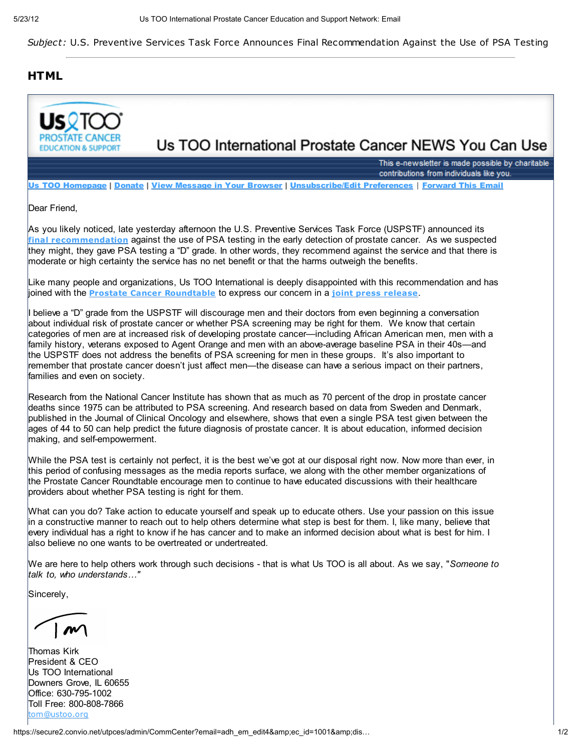Subject: U.S. Preventive Services Task Force Announces Final Recommendation Against the Use of PSA Testing

## **HTML**